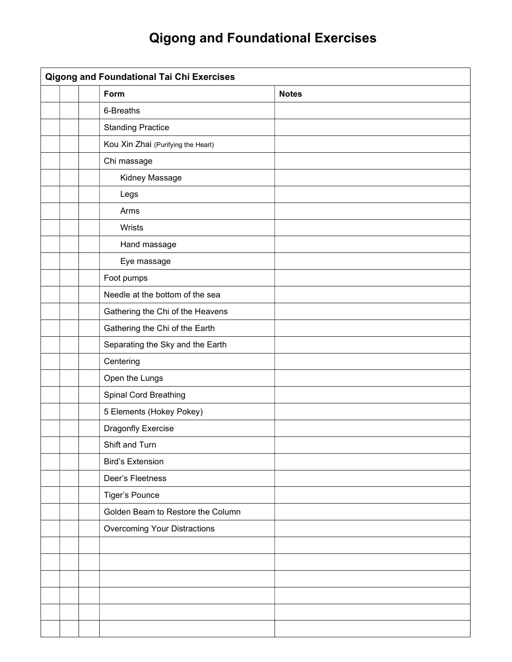## Qigong and Foundational Exercises

| <b>Qigong and Foundational Tai Chi Exercises</b> |  |                                    |              |  |
|--------------------------------------------------|--|------------------------------------|--------------|--|
|                                                  |  | Form                               | <b>Notes</b> |  |
|                                                  |  | 6-Breaths                          |              |  |
|                                                  |  | <b>Standing Practice</b>           |              |  |
|                                                  |  | Kou Xin Zhai (Purifying the Heart) |              |  |
|                                                  |  | Chi massage                        |              |  |
|                                                  |  | Kidney Massage                     |              |  |
|                                                  |  | Legs                               |              |  |
|                                                  |  | Arms                               |              |  |
|                                                  |  | Wrists                             |              |  |
|                                                  |  | Hand massage                       |              |  |
|                                                  |  | Eye massage                        |              |  |
|                                                  |  | Foot pumps                         |              |  |
|                                                  |  | Needle at the bottom of the sea    |              |  |
|                                                  |  | Gathering the Chi of the Heavens   |              |  |
|                                                  |  | Gathering the Chi of the Earth     |              |  |
|                                                  |  | Separating the Sky and the Earth   |              |  |
|                                                  |  | Centering                          |              |  |
|                                                  |  | Open the Lungs                     |              |  |
|                                                  |  | Spinal Cord Breathing              |              |  |
|                                                  |  | 5 Elements (Hokey Pokey)           |              |  |
|                                                  |  | Dragonfly Exercise                 |              |  |
|                                                  |  | Shift and Turn                     |              |  |
|                                                  |  | <b>Bird's Extension</b>            |              |  |
|                                                  |  | Deer's Fleetness                   |              |  |
|                                                  |  | Tiger's Pounce                     |              |  |
|                                                  |  | Golden Beam to Restore the Column  |              |  |
|                                                  |  | Overcoming Your Distractions       |              |  |
|                                                  |  |                                    |              |  |
|                                                  |  |                                    |              |  |
|                                                  |  |                                    |              |  |
|                                                  |  |                                    |              |  |
|                                                  |  |                                    |              |  |
|                                                  |  |                                    |              |  |